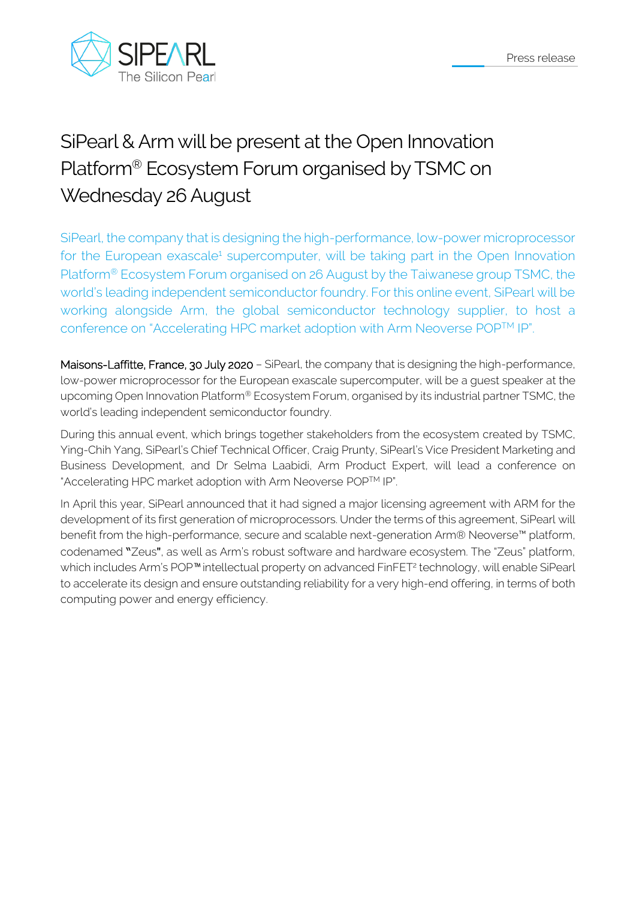

## SiPearl & Arm will be present at the Open Innovation Platform® Ecosystem Forum organised by TSMC on Wednesday 26 August

SiPearl, the company that is designing the high-performance, low-power microprocessor for the European exascale<sup>1</sup> supercomputer, will be taking part in the Open Innovation Platform® Ecosystem Forum organised on 26 August by the Taiwanese group TSMC, the world's leading independent semiconductor foundry. For this online event, SiPearl will be working alongside Arm, the global semiconductor technology supplier, to host a conference on "Accelerating HPC market adoption with Arm Neoverse POPTM IP".

Maisons-Laffitte, France, 30 July 2020 - SiPearl, the company that is designing the high-performance, low-power microprocessor for the European exascale supercomputer, will be a guest speaker at the upcoming Open Innovation Platform® Ecosystem Forum, organised by its industrial partner TSMC, the world's leading independent semiconductor foundry.

During this annual event, which brings together stakeholders from the ecosystem created by TSMC, Ying-Chih Yang, SiPearl's Chief Technical Officer, Craig Prunty, SiPearl's Vice President Marketing and Business Development, and Dr Selma Laabidi, Arm Product Expert, will lead a conference on "Accelerating HPC market adoption with Arm Neoverse POPTM IP".

In April this year, SiPearl announced that it had signed a major licensing agreement with ARM for the development of its first generation of microprocessors. Under the terms of this agreement, SiPearl will benefit from the high-performance, secure and scalable next-generation Arm® Neoverse™ platform, codenamed "Zeus", as well as Arm's robust software and hardware ecosystem. The "Zeus" platform, which includes Arm's POP™ intellectual property on advanced FinFET<sup>2</sup> technology, will enable SiPearl to accelerate its design and ensure outstanding reliability for a very high-end offering, in terms of both computing power and energy efficiency.